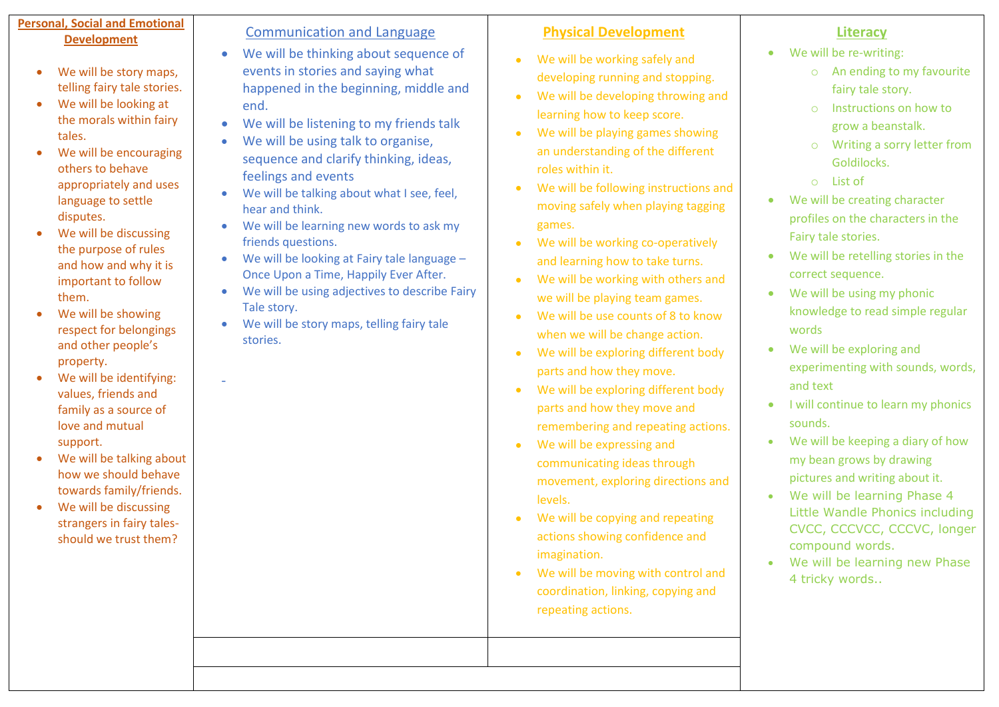### **Personal, Social and Emotional Development**

- We will be story maps, telling fairy tale stories.
- We will be looking at the morals within fairy tales.
- We will be encouraging others to behave appropriately and uses language to settle disputes.
- We will be discussing the purpose of rules and how and why it is important to follow them.
- We will be showing respect for belongings and other people's property.
- We will be identifying: values, friends and family as a source of love and mutual support.

-

- We will be talking about how we should behave towards family/friends.
- We will be discussing strangers in fairy talesshould we trust them?

## Communication and Language

- We will be thinking about sequence of events in stories and saying what happened in the beginning, middle and end.
- We will be listening to my friends talk
- We will be using talk to organise, sequence and clarify thinking, ideas, feelings and events
- We will be talking about what I see, feel, hear and think.
- We will be learning new words to ask my friends questions.
- We will be looking at Fairy tale language Once Upon a Time, Happily Ever After.
- We will be using adjectives to describe Fairy Tale story.
- We will be story maps, telling fairy tale stories.

# **Physical Development**

- We will be working safely and developing running and stopping.
- We will be developing throwing and learning how to keep score.
- We will be playing games showing an understanding of the different roles within it.
- We will be following instructions and moving safely when playing tagging games.
- We will be working co-operatively and learning how to take turns.
- We will be working with others and we will be playing team games.
- We will be use counts of 8 to know when we will be change action.
- We will be exploring different body parts and how they move.
- We will be exploring different body parts and how they move and remembering and repeating actions.
- We will be expressing and communicating ideas through movement, exploring directions and levels.
- We will be copying and repeating actions showing confidence and imagination.
- We will be moving with control and coordination, linking, copying and repeating actions.

# **Literacy**

- We will be re-writing:
	- o An ending to my favourite fairy tale story.
	- o Instructions on how to grow a beanstalk.
	- o Writing a sorry letter from Goldilocks.
	- o List of
- We will be creating character profiles on the characters in the Fairy tale stories.
- We will be retelling stories in the correct sequence.
- We will be using my phonic knowledge to read simple regular words
- We will be exploring and experimenting with sounds, words, and text
- I will continue to learn my phonics sounds.
- We will be keeping a diary of how my bean grows by drawing pictures and writing about it.
- We will be learning Phase 4 Little Wandle Phonics including CVCC, CCCVCC, CCCVC, longer compound words.
- We will be learning new Phase 4 tricky words..